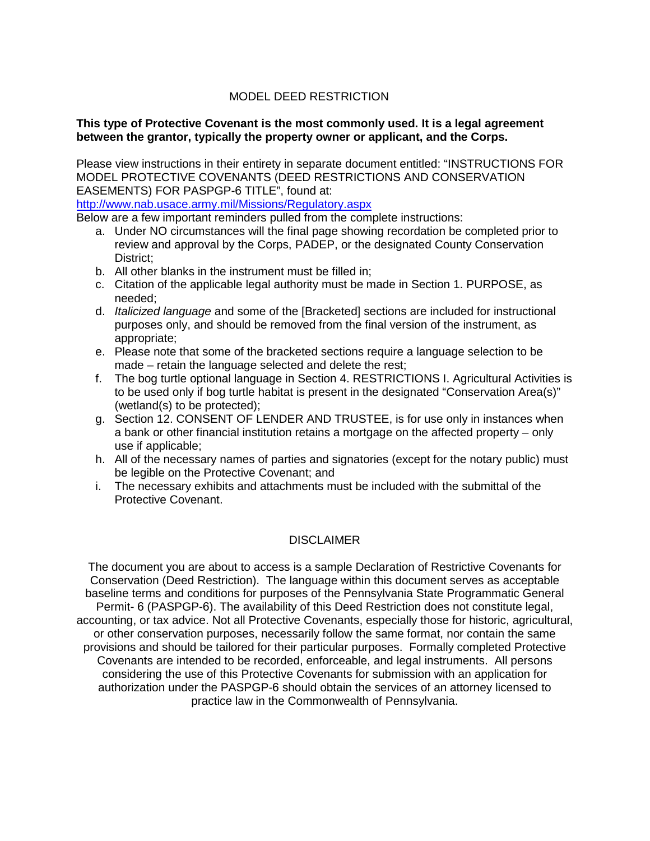# MODEL DEED RESTRICTION

#### **This type of Protective Covenant is the most commonly used. It is a legal agreement between the grantor, typically the property owner or applicant, and the Corps.**

Please view instructions in their entirety in separate document entitled: "INSTRUCTIONS FOR MODEL PROTECTIVE COVENANTS (DEED RESTRICTIONS AND CONSERVATION EASEMENTS) FOR PASPGP-6 TITLE", found at:

<http://www.nab.usace.army.mil/Missions/Regulatory.aspx>

Below are a few important reminders pulled from the complete instructions:

- a. Under NO circumstances will the final page showing recordation be completed prior to review and approval by the Corps, PADEP, or the designated County Conservation District;
- b. All other blanks in the instrument must be filled in;
- c. Citation of the applicable legal authority must be made in Section 1. PURPOSE, as needed;
- d. *Italicized language* and some of the [Bracketed] sections are included for instructional purposes only, and should be removed from the final version of the instrument, as appropriate;
- e. Please note that some of the bracketed sections require a language selection to be made – retain the language selected and delete the rest;
- f. The bog turtle optional language in Section 4. RESTRICTIONS I. Agricultural Activities is to be used only if bog turtle habitat is present in the designated "Conservation Area(s)" (wetland(s) to be protected);
- g. Section 12. CONSENT OF LENDER AND TRUSTEE, is for use only in instances when a bank or other financial institution retains a mortgage on the affected property – only use if applicable;
- h. All of the necessary names of parties and signatories (except for the notary public) must be legible on the Protective Covenant; and
- i. The necessary exhibits and attachments must be included with the submittal of the Protective Covenant.

# DISCLAIMER

The document you are about to access is a sample Declaration of Restrictive Covenants for Conservation (Deed Restriction). The language within this document serves as acceptable baseline terms and conditions for purposes of the Pennsylvania State Programmatic General Permit- 6 (PASPGP-6). The availability of this Deed Restriction does not constitute legal, accounting, or tax advice. Not all Protective Covenants, especially those for historic, agricultural, or other conservation purposes, necessarily follow the same format, nor contain the same provisions and should be tailored for their particular purposes. Formally completed Protective Covenants are intended to be recorded, enforceable, and legal instruments. All persons considering the use of this Protective Covenants for submission with an application for authorization under the PASPGP-6 should obtain the services of an attorney licensed to practice law in the Commonwealth of Pennsylvania.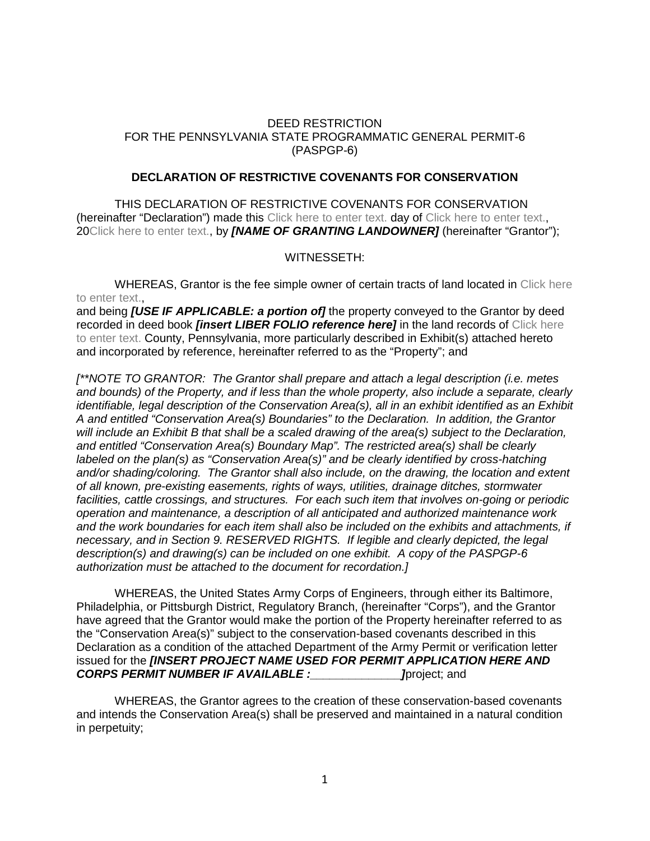#### DEED RESTRICTION FOR THE PENNSYLVANIA STATE PROGRAMMATIC GENERAL PERMIT-6 (PASPGP-6)

#### **DECLARATION OF RESTRICTIVE COVENANTS FOR CONSERVATION**

THIS DECLARATION OF RESTRICTIVE COVENANTS FOR CONSERVATION (hereinafter "Declaration") made this Click here to enter text. day of Click here to enter text., 20Click here to enter text., by *[NAME OF GRANTING LANDOWNER]* (hereinafter "Grantor");

#### WITNESSETH:

WHEREAS, Grantor is the fee simple owner of certain tracts of land located in Click here to enter text.,

and being *[USE IF APPLICABLE: a portion of]* the property conveyed to the Grantor by deed recorded in deed book *[insert LIBER FOLIO reference here]* in the land records of Click here to enter text. County, Pennsylvania, more particularly described in Exhibit(s) attached hereto and incorporated by reference, hereinafter referred to as the "Property"; and

*[\*\*NOTE TO GRANTOR: The Grantor shall prepare and attach a legal description (i.e. metes and bounds) of the Property, and if less than the whole property, also include a separate, clearly identifiable, legal description of the Conservation Area(s), all in an exhibit identified as an Exhibit A and entitled "Conservation Area(s) Boundaries" to the Declaration. In addition, the Grantor will include an Exhibit B that shall be a scaled drawing of the area(s) subject to the Declaration, and entitled "Conservation Area(s) Boundary Map". The restricted area(s) shall be clearly labeled on the plan(s) as "Conservation Area(s)" and be clearly identified by cross-hatching and/or shading/coloring. The Grantor shall also include, on the drawing, the location and extent of all known, pre-existing easements, rights of ways, utilities, drainage ditches, stormwater facilities, cattle crossings, and structures. For each such item that involves on-going or periodic operation and maintenance, a description of all anticipated and authorized maintenance work and the work boundaries for each item shall also be included on the exhibits and attachments, if necessary, and in Section 9. RESERVED RIGHTS. If legible and clearly depicted, the legal description(s) and drawing(s) can be included on one exhibit. A copy of the PASPGP-6 authorization must be attached to the document for recordation.]*

WHEREAS, the United States Army Corps of Engineers, through either its Baltimore, Philadelphia, or Pittsburgh District, Regulatory Branch, (hereinafter "Corps"), and the Grantor have agreed that the Grantor would make the portion of the Property hereinafter referred to as the "Conservation Area(s)" subject to the conservation-based covenants described in this Declaration as a condition of the attached Department of the Army Permit or verification letter issued for the *[INSERT PROJECT NAME USED FOR PERMIT APPLICATION HERE AND CORPS PERMIT NUMBER IF AVAILABLE :\_\_\_\_\_\_\_\_\_\_\_\_\_\_]*project; and

WHEREAS, the Grantor agrees to the creation of these conservation-based covenants and intends the Conservation Area(s) shall be preserved and maintained in a natural condition in perpetuity;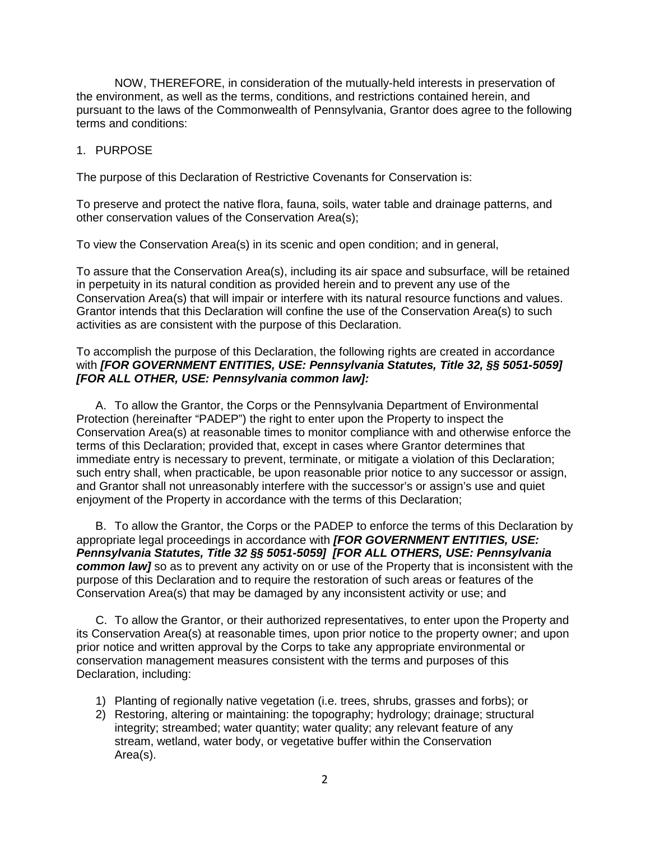NOW, THEREFORE, in consideration of the mutually-held interests in preservation of the environment, as well as the terms, conditions, and restrictions contained herein, and pursuant to the laws of the Commonwealth of Pennsylvania, Grantor does agree to the following terms and conditions:

#### 1. PURPOSE

The purpose of this Declaration of Restrictive Covenants for Conservation is:

To preserve and protect the native flora, fauna, soils, water table and drainage patterns, and other conservation values of the Conservation Area(s);

To view the Conservation Area(s) in its scenic and open condition; and in general,

To assure that the Conservation Area(s), including its air space and subsurface, will be retained in perpetuity in its natural condition as provided herein and to prevent any use of the Conservation Area(s) that will impair or interfere with its natural resource functions and values. Grantor intends that this Declaration will confine the use of the Conservation Area(s) to such activities as are consistent with the purpose of this Declaration.

#### To accomplish the purpose of this Declaration, the following rights are created in accordance with *[FOR GOVERNMENT ENTITIES, USE: Pennsylvania Statutes, Title 32, §§ 5051-5059] [FOR ALL OTHER, USE: Pennsylvania common law]:*

A. To allow the Grantor, the Corps or the Pennsylvania Department of Environmental Protection (hereinafter "PADEP") the right to enter upon the Property to inspect the Conservation Area(s) at reasonable times to monitor compliance with and otherwise enforce the terms of this Declaration; provided that, except in cases where Grantor determines that immediate entry is necessary to prevent, terminate, or mitigate a violation of this Declaration; such entry shall, when practicable, be upon reasonable prior notice to any successor or assign, and Grantor shall not unreasonably interfere with the successor's or assign's use and quiet enjoyment of the Property in accordance with the terms of this Declaration;

B. To allow the Grantor, the Corps or the PADEP to enforce the terms of this Declaration by appropriate legal proceedings in accordance with *[FOR GOVERNMENT ENTITIES, USE: Pennsylvania Statutes, Title 32 §§ 5051-5059] [FOR ALL OTHERS, USE: Pennsylvania common law]* so as to prevent any activity on or use of the Property that is inconsistent with the purpose of this Declaration and to require the restoration of such areas or features of the Conservation Area(s) that may be damaged by any inconsistent activity or use; and

C. To allow the Grantor, or their authorized representatives, to enter upon the Property and its Conservation Area(s) at reasonable times, upon prior notice to the property owner; and upon prior notice and written approval by the Corps to take any appropriate environmental or conservation management measures consistent with the terms and purposes of this Declaration, including:

- 1) Planting of regionally native vegetation (i.e. trees, shrubs, grasses and forbs); or
- 2) Restoring, altering or maintaining: the topography; hydrology; drainage; structural integrity; streambed; water quantity; water quality; any relevant feature of any stream, wetland, water body, or vegetative buffer within the Conservation Area(s).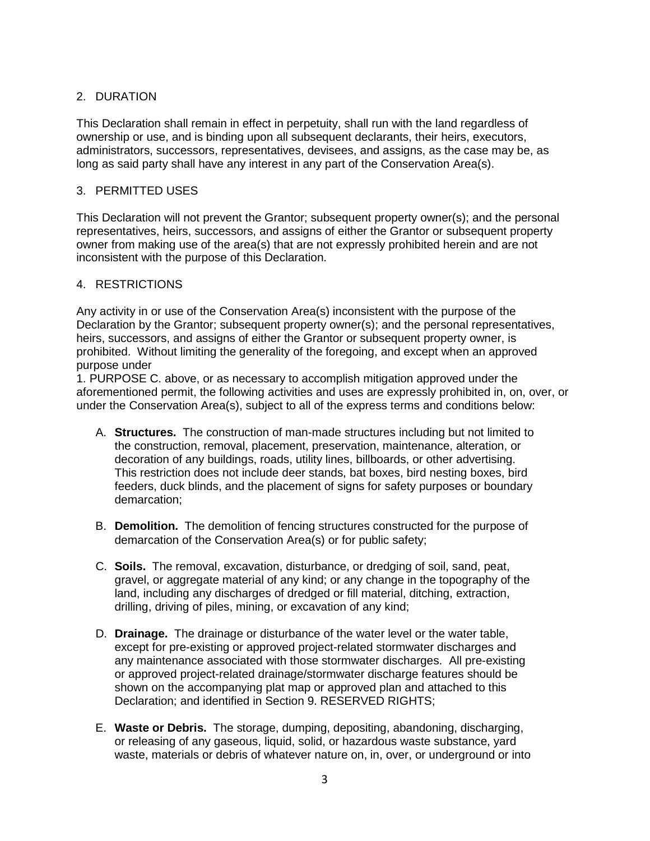# 2. DURATION

This Declaration shall remain in effect in perpetuity, shall run with the land regardless of ownership or use, and is binding upon all subsequent declarants, their heirs, executors, administrators, successors, representatives, devisees, and assigns, as the case may be, as long as said party shall have any interest in any part of the Conservation Area(s).

# 3. PERMITTED USES

This Declaration will not prevent the Grantor; subsequent property owner(s); and the personal representatives, heirs, successors, and assigns of either the Grantor or subsequent property owner from making use of the area(s) that are not expressly prohibited herein and are not inconsistent with the purpose of this Declaration.

# 4. RESTRICTIONS

Any activity in or use of the Conservation Area(s) inconsistent with the purpose of the Declaration by the Grantor; subsequent property owner(s); and the personal representatives, heirs, successors, and assigns of either the Grantor or subsequent property owner, is prohibited. Without limiting the generality of the foregoing, and except when an approved purpose under

1. PURPOSE C. above, or as necessary to accomplish mitigation approved under the aforementioned permit, the following activities and uses are expressly prohibited in, on, over, or under the Conservation Area(s), subject to all of the express terms and conditions below:

- A. **Structures.** The construction of man-made structures including but not limited to the construction, removal, placement, preservation, maintenance, alteration, or decoration of any buildings, roads, utility lines, billboards, or other advertising. This restriction does not include deer stands, bat boxes, bird nesting boxes, bird feeders, duck blinds, and the placement of signs for safety purposes or boundary demarcation;
- B. **Demolition.** The demolition of fencing structures constructed for the purpose of demarcation of the Conservation Area(s) or for public safety;
- C. **Soils.** The removal, excavation, disturbance, or dredging of soil, sand, peat, gravel, or aggregate material of any kind; or any change in the topography of the land, including any discharges of dredged or fill material, ditching, extraction, drilling, driving of piles, mining, or excavation of any kind;
- D. **Drainage.** The drainage or disturbance of the water level or the water table, except for pre-existing or approved project-related stormwater discharges and any maintenance associated with those stormwater discharges. All pre-existing or approved project-related drainage/stormwater discharge features should be shown on the accompanying plat map or approved plan and attached to this Declaration; and identified in Section 9. RESERVED RIGHTS;
- E. **Waste or Debris.** The storage, dumping, depositing, abandoning, discharging, or releasing of any gaseous, liquid, solid, or hazardous waste substance, yard waste, materials or debris of whatever nature on, in, over, or underground or into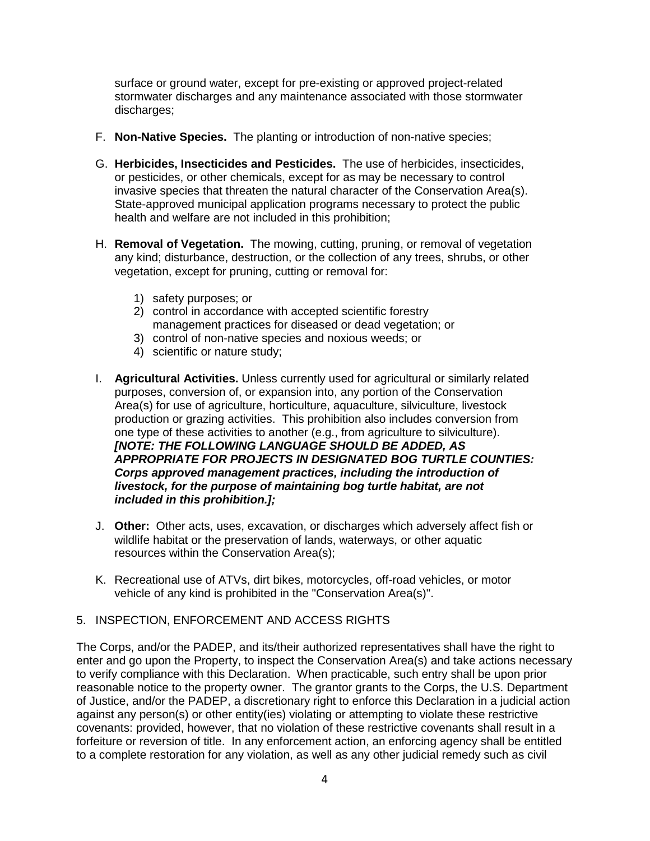surface or ground water, except for pre-existing or approved project-related stormwater discharges and any maintenance associated with those stormwater discharges;

- F. **Non-Native Species.** The planting or introduction of non-native species;
- G. **Herbicides, Insecticides and Pesticides.** The use of herbicides, insecticides, or pesticides, or other chemicals, except for as may be necessary to control invasive species that threaten the natural character of the Conservation Area(s). State-approved municipal application programs necessary to protect the public health and welfare are not included in this prohibition;
- H. **Removal of Vegetation.** The mowing, cutting, pruning, or removal of vegetation any kind; disturbance, destruction, or the collection of any trees, shrubs, or other vegetation, except for pruning, cutting or removal for:
	- 1) safety purposes; or
	- 2) control in accordance with accepted scientific forestry management practices for diseased or dead vegetation; or
	- 3) control of non-native species and noxious weeds; or
	- 4) scientific or nature study;
- I. **Agricultural Activities.** Unless currently used for agricultural or similarly related purposes, conversion of, or expansion into, any portion of the Conservation Area(s) for use of agriculture, horticulture, aquaculture, silviculture, livestock production or grazing activities. This prohibition also includes conversion from one type of these activities to another (e.g., from agriculture to silviculture). *[NOTE: THE FOLLOWING LANGUAGE SHOULD BE ADDED, AS APPROPRIATE FOR PROJECTS IN DESIGNATED BOG TURTLE COUNTIES: Corps approved management practices, including the introduction of livestock, for the purpose of maintaining bog turtle habitat, are not included in this prohibition.];*
- J. **Other:** Other acts, uses, excavation, or discharges which adversely affect fish or wildlife habitat or the preservation of lands, waterways, or other aquatic resources within the Conservation Area(s);
- K. Recreational use of ATVs, dirt bikes, motorcycles, off-road vehicles, or motor vehicle of any kind is prohibited in the "Conservation Area(s)".

#### 5. INSPECTION, ENFORCEMENT AND ACCESS RIGHTS

The Corps, and/or the PADEP, and its/their authorized representatives shall have the right to enter and go upon the Property, to inspect the Conservation Area(s) and take actions necessary to verify compliance with this Declaration. When practicable, such entry shall be upon prior reasonable notice to the property owner. The grantor grants to the Corps, the U.S. Department of Justice, and/or the PADEP, a discretionary right to enforce this Declaration in a judicial action against any person(s) or other entity(ies) violating or attempting to violate these restrictive covenants: provided, however, that no violation of these restrictive covenants shall result in a forfeiture or reversion of title. In any enforcement action, an enforcing agency shall be entitled to a complete restoration for any violation, as well as any other judicial remedy such as civil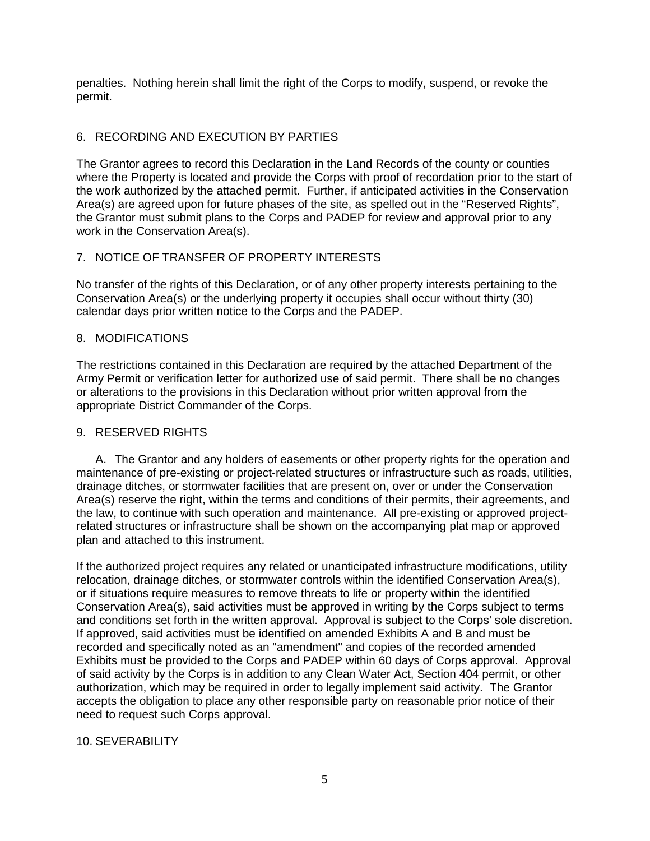penalties. Nothing herein shall limit the right of the Corps to modify, suspend, or revoke the permit.

# 6. RECORDING AND EXECUTION BY PARTIES

The Grantor agrees to record this Declaration in the Land Records of the county or counties where the Property is located and provide the Corps with proof of recordation prior to the start of the work authorized by the attached permit. Further, if anticipated activities in the Conservation Area(s) are agreed upon for future phases of the site, as spelled out in the "Reserved Rights", the Grantor must submit plans to the Corps and PADEP for review and approval prior to any work in the Conservation Area(s).

# 7. NOTICE OF TRANSFER OF PROPERTY INTERESTS

No transfer of the rights of this Declaration, or of any other property interests pertaining to the Conservation Area(s) or the underlying property it occupies shall occur without thirty (30) calendar days prior written notice to the Corps and the PADEP.

# 8. MODIFICATIONS

The restrictions contained in this Declaration are required by the attached Department of the Army Permit or verification letter for authorized use of said permit. There shall be no changes or alterations to the provisions in this Declaration without prior written approval from the appropriate District Commander of the Corps.

# 9. RESERVED RIGHTS

A. The Grantor and any holders of easements or other property rights for the operation and maintenance of pre-existing or project-related structures or infrastructure such as roads, utilities, drainage ditches, or stormwater facilities that are present on, over or under the Conservation Area(s) reserve the right, within the terms and conditions of their permits, their agreements, and the law, to continue with such operation and maintenance. All pre-existing or approved projectrelated structures or infrastructure shall be shown on the accompanying plat map or approved plan and attached to this instrument.

If the authorized project requires any related or unanticipated infrastructure modifications, utility relocation, drainage ditches, or stormwater controls within the identified Conservation Area(s), or if situations require measures to remove threats to life or property within the identified Conservation Area(s), said activities must be approved in writing by the Corps subject to terms and conditions set forth in the written approval. Approval is subject to the Corps' sole discretion. If approved, said activities must be identified on amended Exhibits A and B and must be recorded and specifically noted as an "amendment" and copies of the recorded amended Exhibits must be provided to the Corps and PADEP within 60 days of Corps approval. Approval of said activity by the Corps is in addition to any Clean Water Act, Section 404 permit, or other authorization, which may be required in order to legally implement said activity. The Grantor accepts the obligation to place any other responsible party on reasonable prior notice of their need to request such Corps approval.

# 10. SEVERABILITY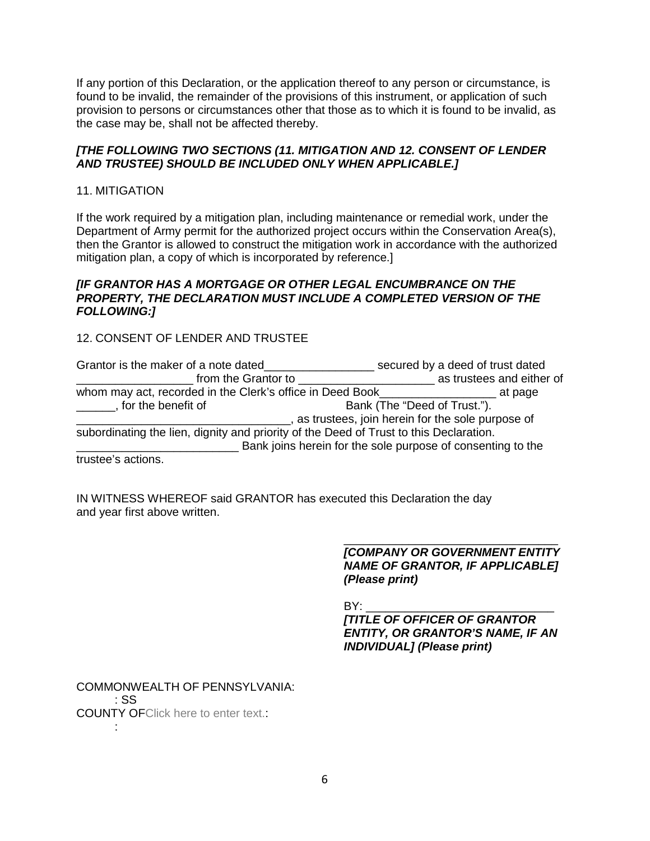If any portion of this Declaration, or the application thereof to any person or circumstance, is found to be invalid, the remainder of the provisions of this instrument, or application of such provision to persons or circumstances other that those as to which it is found to be invalid, as the case may be, shall not be affected thereby.

### *[THE FOLLOWING TWO SECTIONS (11. MITIGATION AND 12. CONSENT OF LENDER AND TRUSTEE) SHOULD BE INCLUDED ONLY WHEN APPLICABLE.]*

#### 11. MITIGATION

If the work required by a mitigation plan, including maintenance or remedial work, under the Department of Army permit for the authorized project occurs within the Conservation Area(s), then the Grantor is allowed to construct the mitigation work in accordance with the authorized mitigation plan, a copy of which is incorporated by reference.]

#### *[IF GRANTOR HAS A MORTGAGE OR OTHER LEGAL ENCUMBRANCE ON THE PROPERTY, THE DECLARATION MUST INCLUDE A COMPLETED VERSION OF THE FOLLOWING:]*

# 12. CONSENT OF LENDER AND TRUSTEE

| Grantor is the maker of a note dated                                                   | secured by a deed of trust dated                            |  |  |
|----------------------------------------------------------------------------------------|-------------------------------------------------------------|--|--|
| from the Grantor to                                                                    | as trustees and either of                                   |  |  |
| whom may act, recorded in the Clerk's office in Deed Book                              | at page                                                     |  |  |
| , for the benefit of                                                                   | Bank (The "Deed of Trust.").                                |  |  |
|                                                                                        | as trustees, join herein for the sole purpose of            |  |  |
| subordinating the lien, dignity and priority of the Deed of Trust to this Declaration. |                                                             |  |  |
|                                                                                        | Bank joins herein for the sole purpose of consenting to the |  |  |
| trustee's actions.                                                                     |                                                             |  |  |

IN WITNESS WHEREOF said GRANTOR has executed this Declaration the day and year first above written.

> *[COMPANY OR GOVERNMENT ENTITY NAME OF GRANTOR, IF APPLICABLE] (Please print)*

\_\_\_\_\_\_\_\_\_\_\_\_\_\_\_\_\_\_\_\_\_\_\_\_\_\_\_\_\_\_\_\_\_

BY: \_\_\_\_\_\_\_\_\_\_\_\_\_\_\_\_\_\_\_\_\_\_\_\_\_\_\_\_\_ *[TITLE OF OFFICER OF GRANTOR ENTITY, OR GRANTOR'S NAME, IF AN INDIVIDUAL] (Please print)*

COMMONWEALTH OF PENNSYLVANIA: : SS COUNTY OFClick here to enter text.: :